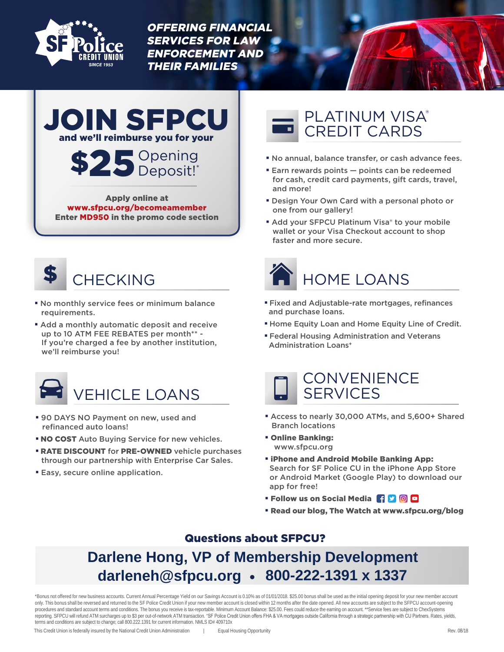

OFFERING FINANCIAL SERVICES FOR LAW ENFORCEMENT AND THEIR FAMILIES





Apply online at www.sfpcu.org/becomeamember Enter MD950 in the promo code section



- No monthly service fees or minimum balance requirements.
- Add a monthly automatic deposit and receive up to 10 ATM FEE REBATES per month\*\* -If you're charged a fee by another institution, we'll reimburse you!



- 90 DAYS NO Payment on new, used and refinanced auto loans!
- NO COST Auto Buying Service for new vehicles.
- RATE DISCOUNT for PRE-OWNED vehicle purchases through our partnership with Enterprise Car Sales.
- Easy, secure online application.

# PLATINUM VISA® CREDIT CARDS

- No annual, balance transfer, or cash advance fees.
- Earn rewards points points can be redeemed for cash, credit card payments, gift cards, travel, and more!
- Design Your Own Card with a personal photo or one from our gallery!
- Add your SFPCU Platinum Visa® to your mobile wallet or your Visa Checkout account to shop faster and more secure.



- Fixed and Adjustable-rate mortgages, refinances and purchase loans.
- Home Equity Loan and Home Equity Line of Credit.
- Federal Housing Administration and Veterans Administration Loans<sup>+</sup>



- Access to nearly 30,000 ATMs, and 5,600+ Shared Branch locations
- Online Banking: www.sfpcu.org
- iPhone and Android Mobile Banking App: Search for SF Police CU in the iPhone App Store or Android Market (Google Play) to download our app for free!
- Follow us on Social Media **HD** O **O**
- Read our blog, The Watch at www.sfpcu.org/blog

# Questions about SFPCU?

# • **darleneh@sfpcu.org 800-222-1391 x 1337Darlene Hong, VP of Membership Development**

\*Bonus not offered for new business accounts. Current Annual Percentage Yield on our Savings Account is 0.10% as of 01/01/2018. \$25.00 bonus shall be used as the initial opening deposit for your new member account only. This bonus shall be reversed and returned to the SF Police Credit Union if your new member account is closed within 12 months after the date opened. All new accounts are subject to the SFPCU account-opening procedures and standard account terms and conditions. The bonus you receive is tax-reportable. Minimum Account Balance: \$25.00. Fees could reduce the earning on account. \*\*Service fees are subject to ChexSystems reporting. SFPCU will refund ATM surcharges up to \$3 per out-of-network ATM transaction. <sup>+</sup>SF Police Credit Union offers FHA & VA mortgages outside California through a strategic partnership with CU Partners. Rates, yields, terms and conditions are subject to change; call 800.222.1391 for current information. NMLS ID# 409710x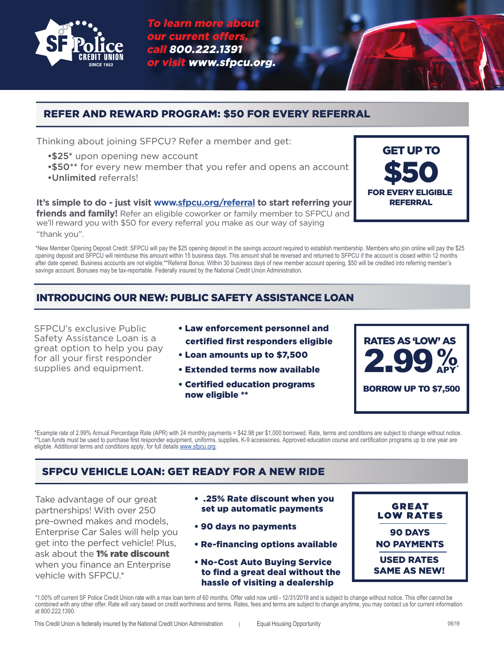

To learn more about our current offer call 800.222.1391 or visit www.sfpcu.org.

## REFER AND REWARD PROGRAM: \$50 FOR EVERY REFERRAL

Thinking about joining SFPCU? Refer a member and get:

- •\$25\* upon opening new account
- •\$50\*\* for every new member that you refer and opens an account
- •Unlimited referrals!

**It's simple to do - just visit www[.sfpcu.org/referral](http://www.sfpcu.org/referral) to start referring your friends and family!** Refer an eligible coworker or family member to SFPCU and we'll reward you with \$50 for every referral you make as our way of saying "thank you".

\*New Member Opening Deposit Credit: SFPCU will pay the \$25 opening deposit in the savings account required to establish membership. Members who join online will pay the \$25 opening deposit and SFPCU will reimburse this amount within 15 business days. This amount shall be reversed and returned to SFPCU if the account is closed within 12 months after date opened. Business accounts are not eligible.\*\*Referral Bonus: Within 30 business days of new member account opening, \$50 will be credited into referring member's savings account. Bonuses may be tax-reportable. Federally insured by the National Credit Union Administration.

# INTRODUCING OUR NEW: PUBLIC SAFETY ASSISTANCE LOAN

SFPCU's exclusive Public Safety Assistance Loan is a great option to help you pay for all your first responder supplies and equipment.

- Law enforcement personnel and certified first responders eligible
- Loan amounts up to \$7,500
- Extended terms now available
- Certified education programs now eligible \*\*



GET UP TO

\$50

FOR EVERY ELIGIBLE **REFERRAL** 

\*Example rate of 2.99% Annual Percentage Rate (APR) with 24 monthly payments = \$42.98 per \$1,000 borrowed. Rate, terms and conditions are subject to change without notice. \*Loan funds must be used to purchase first responder equipment, uniforms, supplies, K-9 accessories. Approved education course and certification programs up to one year are eligible. Additional terms and conditions apply, for full details [www.sfpcu.org.](http://www.sfpcu.org)

# SFPCU VEHICLE LOAN: GET READY FOR A NEW RIDE

Take advantage of our great partnerships! With over 250 pre-owned makes and models, Enterprise Car Sales will help you get into the perfect vehicle! Plus, ask about the 1% rate discount when you finance an Enterprise vehicle with SFPCU.\*

- .25% Rate discount when you set up automatic payments
- 90 days no payments
- Re-financing options available
- No-Cost Auto Buying Service to find a great deal without the hassle of visiting a dealership
- **GREAT** LOW RATES 90 DAYS NO PAYMENTS USED RATES SAME AS NEW!

\*1.00% off current SF Police Credit Union rate with a max loan term of 60 months. Offer valid now until - 12/31/2019 and is subject to change without notice. This offer cannot be combined with any other offer. Rate will vary based on credit worthiness and terms. Rates, fees and terms are subject to change anytime, you may contact us for current information at 800.222.1390.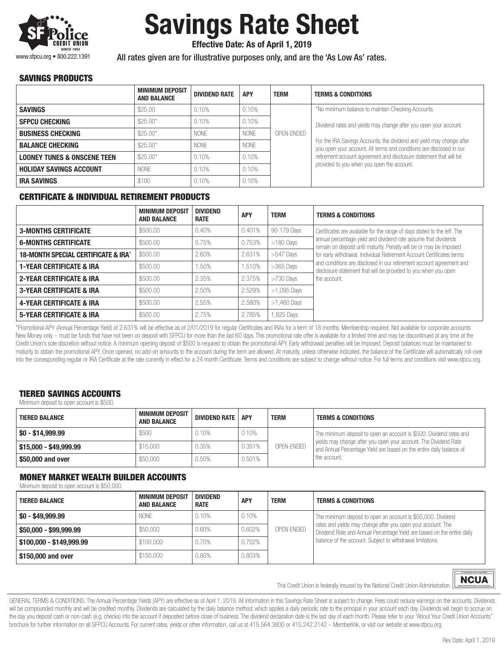

# Savings Rate Sheet

Effective Date: As of April 1, 2019

All rates given are for illustrative purposes only, and are the 'As Low As' rates.

#### SAVINGS PRODUCTS

|                                        | <b>MINIMUM DEPOSIT</b><br><b>AND BALANCE</b> | <b>DIVIDEND RATE</b> | <b>APY</b>  | <b>TERM</b> | <b>TERMS &amp; CONDITIONS</b>                                                                                                                 |  |
|----------------------------------------|----------------------------------------------|----------------------|-------------|-------------|-----------------------------------------------------------------------------------------------------------------------------------------------|--|
| <b>SAVINGS</b>                         | \$25.00                                      | 0.10%                | 0.10%       |             | *No minimum balance to maintain Checking Accounts.                                                                                            |  |
| <b>SFPCU CHECKING</b>                  | $$25.00*$                                    | 0.10%                | 0.10%       |             | Dividend rates and yields may change after you open your account.                                                                             |  |
| <b>BUSINESS CHECKING</b>               | $$25.00*$                                    | <b>NONF</b>          | <b>NONE</b> | OPEN-ENDED  |                                                                                                                                               |  |
| <b>BALANCE CHECKING</b>                | $$25.00*$                                    | <b>NONE</b>          | <b>NONE</b> |             | For the IRA Savings Accounts, the dividend and yield may change after<br>you open your account. All terms and conditions are disclosed in our |  |
| <b>LOONEY TUNES &amp; ONSCENE TEEN</b> | $$25.00*$                                    | 0.10%                | 0.10%       |             | retirement account agreement and disclosure statement that will be                                                                            |  |
| <b>HOLIDAY SAVINGS ACCOUNT</b>         | <b>NONE</b>                                  | 0.10%                | 0.10%       |             | provided to you when you open the account.                                                                                                    |  |
| <b>IRA SAVINGS</b>                     | \$100                                        | 0.10%                | 0.10%       |             |                                                                                                                                               |  |

#### CERTIFICATE & INDIVIDUAL RETIREMENT PRODUCTS

|                                                | <b>MINIMUM DEPOSIT</b><br><b>AND BALANCE</b> | <b>DIVIDEND</b><br><b>RATE</b> | <b>APY</b> | <b>TERM</b>   | <b>TERMS &amp; CONDITIONS</b>                                                                                                           |
|------------------------------------------------|----------------------------------------------|--------------------------------|------------|---------------|-----------------------------------------------------------------------------------------------------------------------------------------|
| <b>3-MONTHS CERTIFICATE</b>                    | \$500.00                                     | 0.40%                          | 0.401%     | 90-179 Days   | Certificates are available for the range of days stated to the left. The                                                                |
| <b>6-MONTHS CERTIFICATE</b>                    | \$500.00                                     | 0.75%                          | 0.753%     | $>180$ Days   | annual percentage yield and dividend rate assume that dividends<br>remain on deposit until maturity. Penalty will be or may be imposed  |
| <b>18-MONTH SPECIAL CERTIFICATE &amp; IRA*</b> | \$500.00                                     | 2.60%                          | 2.631%     | $>547$ Days   | for early withdrawal. Individual Retirement Account Certificates terms                                                                  |
| <b>1-YEAR CERTIFICATE &amp; IRA</b>            | \$500.00                                     | 1.50%                          | 1.510%     | $>365$ Days   | and conditions are disclosed in our retirement account agreement and<br>disclosure statement that will be provided to you when you open |
| <b>2-YEAR CERTIFICATE &amp; IRA</b>            | \$500.00                                     | 2.35%                          | 2.375%     | $>730$ Days   | the account.                                                                                                                            |
| <b>3-YEAR CERTIFICATE &amp; IRA</b>            | \$500.00                                     | 2.50%                          | 2.529%     | $>1,095$ Days |                                                                                                                                         |
| <b>4-YEAR CERTIFICATE &amp; IRA</b>            | \$500.00                                     | 2.55%                          | 2.580%     | $>1,460$ Days |                                                                                                                                         |
| <b>5-YEAR CERTIFICATE &amp; IRA</b>            | \$500.00                                     | 2.75%                          | 2.785%     | 1,825 Days    |                                                                                                                                         |

\*Promotional APY (Annual Percentage Yield) of 2.631% will be effective as of 2/01/2019 for regular Certificates and IRAs for a term of 18 months. Membership required. Not available for corporate accounts. New Money only – must be funds that have not been on deposit with SFPCU for more than the last 60 days. This promotional rate offer is available for a limited time and may be discontinued at any time at the Credit Union's sole discretion without notice. A minimum opening deposit of \$500 is required to obtain the promotional APY. Early withdrawal penalties will be imposed. Deposit balances must be maintained to maturity to obtain the promotional APY. Once opened, no add-on amounts to the account during the term are allowed. At maturity, unless otherwise indicated, the balance of the Certificate will automatically roll-over into the corresponding regular or IRA Certificate at the rate currently in effect for a 24 month Certificate. Terms and conditions are subject to change without notice. For full terms and conditions visit www.sfpcu.org.

### TIERED SAVINGS ACCOUNTS

Minimum deposit to open account is \$500.

| <b>TIERED BALANCE</b>  | <b>MINIMUM DEPOSIT</b><br><b>AND BALANCE</b> | DIVIDEND RATE | <b>APY</b> | <b>TERM</b> | <b>TERMS &amp; CONDITIONS</b>                                                                                                                                                                                   |
|------------------------|----------------------------------------------|---------------|------------|-------------|-----------------------------------------------------------------------------------------------------------------------------------------------------------------------------------------------------------------|
| $\$\,0 - \$14.999.99$  | \$500                                        | 0.10%         | 0.10%      |             | The minimum deposit to open an account is \$500. Dividend rates and<br>vields may change after you open your account. The Dividend Rate<br>and Annual Percentage Yield are based on the entire daily balance of |
| \$15,000 - \$49,999,99 | \$15,000                                     | 0.35%         | 0.351%     | OPEN-ENDED  |                                                                                                                                                                                                                 |
| \$50,000 and over      | \$50,000                                     | 0.50%         | 0.501%     |             | the account.                                                                                                                                                                                                    |

#### MONEY MARKET WEALTH BUILDER ACCOUNTS

Minimum deposit to open account is \$50,000.

| <b>TIERED BALANCE</b>    | <b>MINIMUM DEPOSIT</b><br><b>AND BALANCE</b> | <b>DIVIDEND</b><br><b>RATE</b> | <b>APY</b> | <b>TERM</b> | <b>TERMS &amp; CONDITIONS</b>                                                                                                           |
|--------------------------|----------------------------------------------|--------------------------------|------------|-------------|-----------------------------------------------------------------------------------------------------------------------------------------|
| $$0 - $49,999,99$        | <b>NONE</b>                                  | 0.10%                          | 0.10%      |             | The minimum deposit to open an account is \$50,000. Dividend                                                                            |
| $$50,000 - $99,999.99$   | \$50,000                                     | 0.60%                          | 0.602%     | OPEN-ENDED  | rates and yields may change after you open your account. The<br>Dividend Rate and Annual Percentage Yield are based on the entire daily |
| \$100,000 - \$149,999,99 | \$100,000                                    | 0.70%                          | 0.702%     |             | balance of the account. Subject to withdrawal limitations.                                                                              |
| \$150,000 and over       | \$150,000                                    | 0.80%                          | 0.803%     |             |                                                                                                                                         |



This Credit Union is federally insured by the National Credit Union Administration.

GENERAL TERMS & CONDITIONS: The Annual Percentage Yields (APY) are effective as of April 1, 2019. All information in this Savings Rate Sheet is subject to change. Fees could reduce earnings on the accounts. Dividends will be compounded monthly and will be credited monthly. Dividends are calculated by the daily balance method, which applies a daily periodic rate to the principal in your account each day. Dividends will begin to accrue o the day you deposit cash or non-cash (e.g. checks) into the account if deposited before close of business. The dividend declaration date is the last day of each month. Please refer to your "About Your Credit Union Accounts" brochure for further information on all SFPCU Accounts. For current rates, yields or other information, call us at 415.564.3800 or 415.242.2142 – Memberlink, or visit our website at www.sfpcu.org.